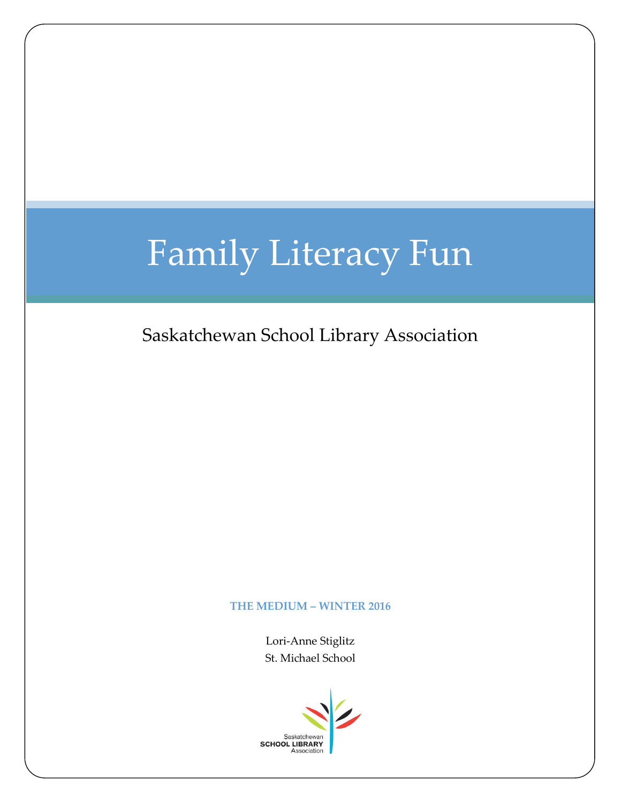## Family Literacy Fun

Saskatchewan School Library Association

## **THE MEDIUM – WINTER 2016**

Lori-Anne Stiglitz St. Michael School

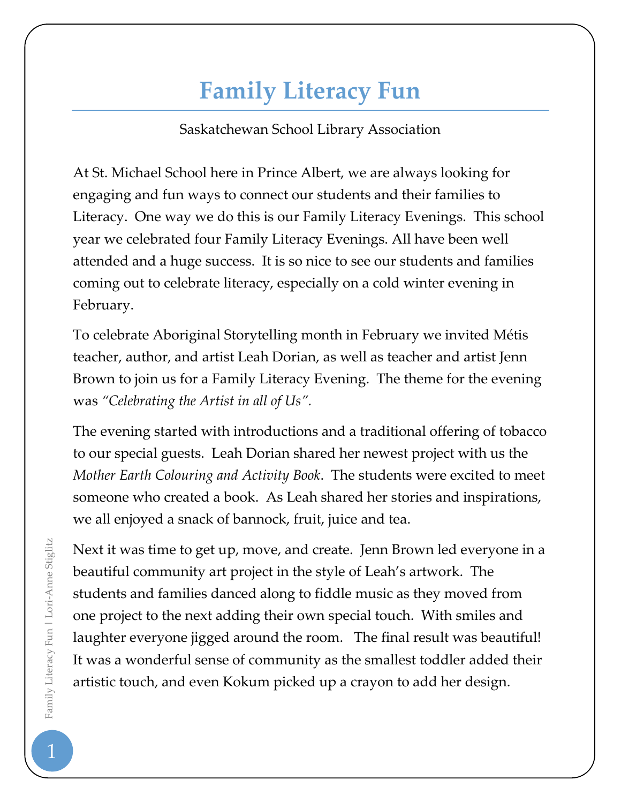## **Family Literacy Fun**

Saskatchewan School Library Association

At St. Michael School here in Prince Albert, we are always looking for engaging and fun ways to connect our students and their families to Literacy. One way we do this is our Family Literacy Evenings. This school year we celebrated four Family Literacy Evenings. All have been well attended and a huge success. It is so nice to see our students and families coming out to celebrate literacy, especially on a cold winter evening in February.

To celebrate Aboriginal Storytelling month in February we invited Métis teacher, author, and artist Leah Dorian, as well as teacher and artist Jenn Brown to join us for a Family Literacy Evening. The theme for the evening was *"Celebrating the Artist in all of Us".* 

The evening started with introductions and a traditional offering of tobacco to our special guests. Leah Dorian shared her newest project with us the *Mother Earth Colouring and Activity Book*. The students were excited to meet someone who created a book. As Leah shared her stories and inspirations, we all enjoyed a snack of bannock, fruit, juice and tea.

Next it was time to get up, move, and create. Jenn Brown led everyone in a beautiful community art project in the style of Leah's artwork. The students and families danced along to fiddle music as they moved from one project to the next adding their own special touch. With smiles and laughter everyone jigged around the room. The final result was beautiful! It was a wonderful sense of community as the smallest toddler added their artistic touch, and even Kokum picked up a crayon to add her design.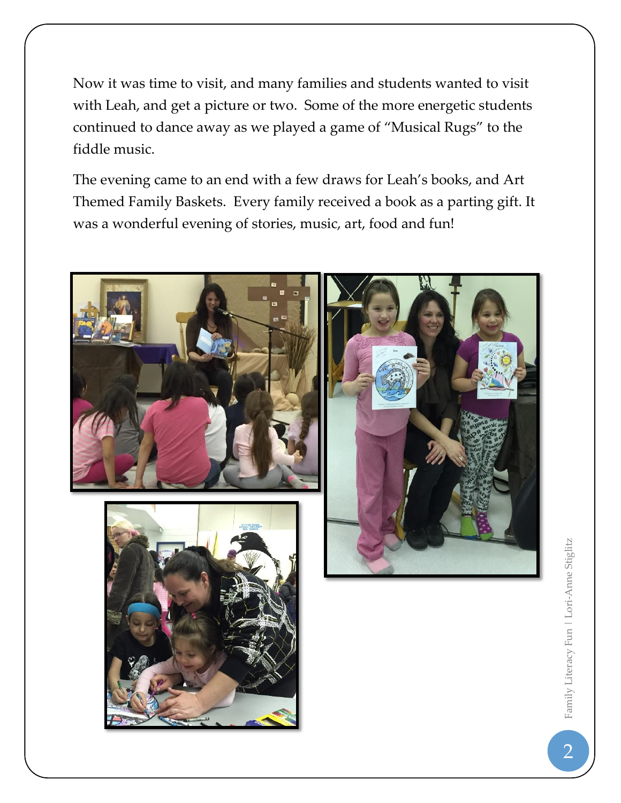Now it was time to visit, and many families and students wanted to visit with Leah, and get a picture or two. Some of the more energetic students continued to dance away as we played a game of "Musical Rugs" to the fiddle music.

The evening came to an end with a few draws for Leah's books, and Art Themed Family Baskets. Every family received a book as a parting gift. It was a wonderful evening of stories, music, art, food and fun!



Family Literacy Fun | Lori-Anne Stiglitz 2Family Literacy Fun | Lori-Anne Stiglitz